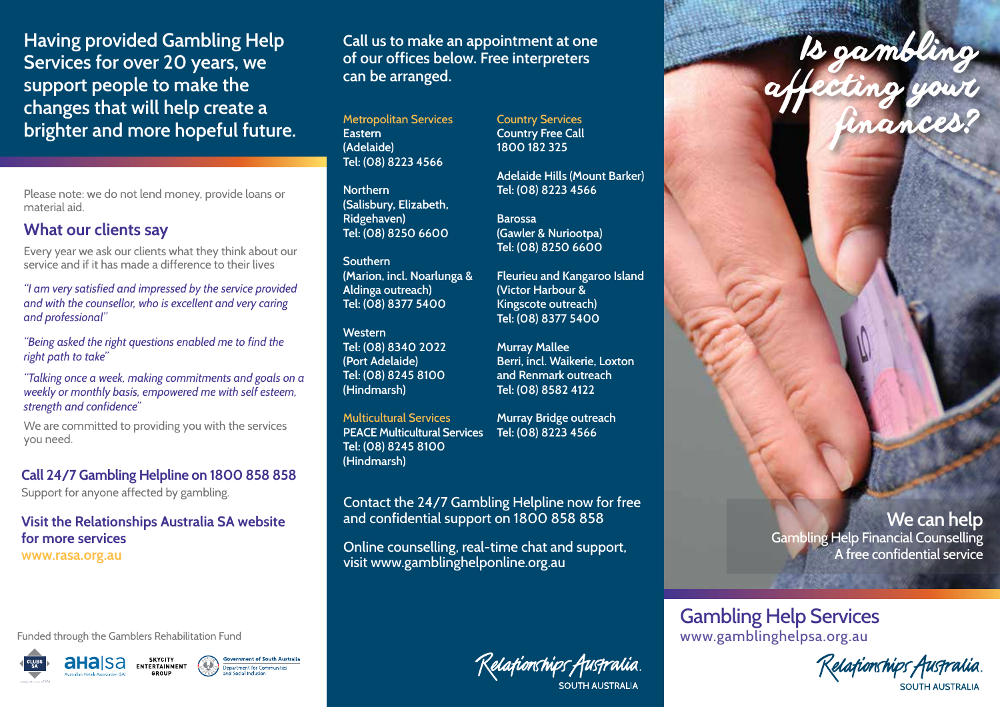**Having provided Gambling Help Services for over 20 years, we support people to make the changes that will help create a brighter and more hopeful future.** Metropolitan Services

Please note: we do not lend money, provide loans or material aid.

## **What our clients say**

Every year we ask our clients what they think about our service and if it has made a difference to their lives

*"I am very satisfied and impressed by the service provided and with the counsellor, who is excellent and very caring and professional"* 

*"Being asked the right questions enabled me to find the right path to take"*

*"Talking once a week, making commitments and goals on a weekly or monthly basis, empowered me with self esteem, strength and confidence"*

We are committed to providing you with the services you need.

**Call 24/7 Gambling Helpline on 1800 858 858** 

Support for anyone affected by gambling.

**Visit the Relationships Australia SA website for more services www.rasa.org.au** 

Funded through the Gamblers Rehabilitation Fund



SKYCITY<br>ENTERTAINMENT ahaisa



**Call us to make an appointment at one of our offices below. Free interpreters can be arranged.**

**Eastern (Adelaide) Tel: (08) 8223 4566**

**Northern (Salisbury, Elizabeth, Ridgehaven) Tel: (08) 8250 6600**

#### **Southern (Marion, incl. Noarlunga & Aldinga outreach) Tel: (08) 8377 5400**

**Western Tel: (08) 8340 2022 (Port Adelaide) Tel: (08) 8245 8100 (Hindmarsh)**

Multicultural Services **PEACE Multicultural Services Tel: (08) 8223 4566 Tel: (08) 8245 8100 (Hindmarsh)**

**Murray Bridge outreach**

Contact the 24/7 Gambling Helpline now for free and confidential support on 1800 858 858

Online counselling, real-time chat and support, visit www.gamblinghelponline.org.au

Relafionships Australia

Country Services **Country Free Call 1800 182 325**

**Adelaide Hills (Mount Barker) Tel: (08) 8223 4566**

**Barossa (Gawler & Nuriootpa) Tel: (08) 8250 6600**

**Fleurieu and Kangaroo Island (Victor Harbour & Kingscote outreach) Tel: (08) 8377 5400**

**Murray Mallee Berri, incl. Waikerie, Loxton and Renmark outreach Tel: (08) 8582 4122** 

**We can help** Gambling Help Financial Counselling A free confidential service

## Gambling Help Services www.gamblinghelpsa.org.au

Kelafionships Australia. :OLITH ALISTRALIA

Is gambling affecting your finances?